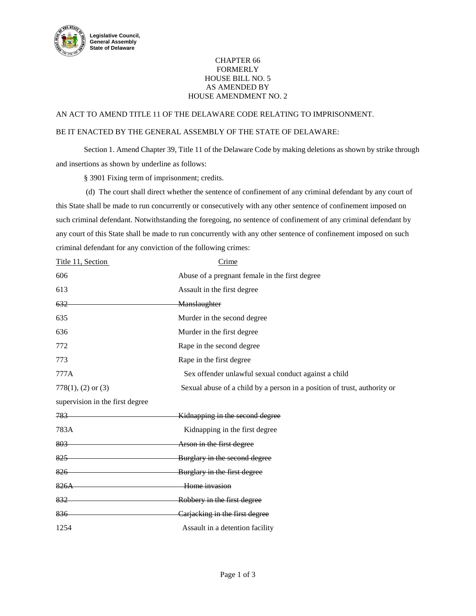

## CHAPTER 66 FORMERLY HOUSE BILL NO. 5 AS AMENDED BY HOUSE AMENDMENT NO. 2

## AN ACT TO AMEND TITLE 11 OF THE DELAWARE CODE RELATING TO IMPRISONMENT.

## BE IT ENACTED BY THE GENERAL ASSEMBLY OF THE STATE OF DELAWARE:

Section 1. Amend Chapter 39, Title 11 of the Delaware Code by making deletions as shown by strike through and insertions as shown by underline as follows:

§ 3901 Fixing term of imprisonment; credits.

(d) The court shall direct whether the sentence of confinement of any criminal defendant by any court of this State shall be made to run concurrently or consecutively with any other sentence of confinement imposed on such criminal defendant. Notwithstanding the foregoing, no sentence of confinement of any criminal defendant by any court of this State shall be made to run concurrently with any other sentence of confinement imposed on such criminal defendant for any conviction of the following crimes:

| Title 11, Section               | Crime                                                                    |
|---------------------------------|--------------------------------------------------------------------------|
| 606                             | Abuse of a pregnant female in the first degree                           |
| 613                             | Assault in the first degree                                              |
| 632                             | Manslaughter                                                             |
| 635                             | Murder in the second degree                                              |
| 636                             | Murder in the first degree                                               |
| 772                             | Rape in the second degree                                                |
| 773                             | Rape in the first degree                                                 |
| 777A                            | Sex offender unlawful sexual conduct against a child                     |
| $778(1)$ , (2) or (3)           | Sexual abuse of a child by a person in a position of trust, authority or |
| supervision in the first degree |                                                                          |
| 783                             | Kidnapping in the second degree                                          |
| 783A                            | Kidnapping in the first degree                                           |
| 803                             | Arson in the first degree                                                |
| $825 -$                         | Burglary in the second degree                                            |
| 826                             | Burglary in the first degree                                             |
| 826A                            | Home invasion                                                            |
| 832                             | Robbery in the first degree                                              |
| 836                             | Carjacking in the first degree                                           |
| 1254                            | Assault in a detention facility                                          |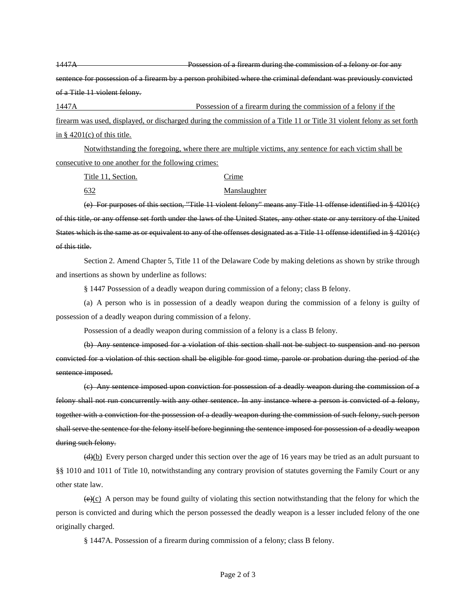1447A **Possession of a firearm during the commission of a felony or for any** sentence for possession of a firearm by a person prohibited where the criminal defendant was previously convicted of a Title 11 violent felony.

1447A Possession of a firearm during the commission of a felony if the firearm was used, displayed, or discharged during the commission of a Title 11 or Title 31 violent felony as set forth in  $\S$  4201(c) of this title.

Notwithstanding the foregoing, where there are multiple victims, any sentence for each victim shall be consecutive to one another for the following crimes:

Title 11, Section. Crime

632 Manslaughter

(e) For purposes of this section, "Title 11 violent felony" means any Title 11 offense identified in § 4201(c) of this title, or any offense set forth under the laws of the United States, any other state or any territory of the United States which is the same as or equivalent to any of the offenses designated as a Title 11 offense identified in § 4201(c) of this title.

Section 2. Amend Chapter 5, Title 11 of the Delaware Code by making deletions as shown by strike through and insertions as shown by underline as follows:

§ 1447 Possession of a deadly weapon during commission of a felony; class B felony.

(a) A person who is in possession of a deadly weapon during the commission of a felony is guilty of possession of a deadly weapon during commission of a felony.

Possession of a deadly weapon during commission of a felony is a class B felony.

(b) Any sentence imposed for a violation of this section shall not be subject to suspension and no person convicted for a violation of this section shall be eligible for good time, parole or probation during the period of the sentence imposed.

(c) Any sentence imposed upon conviction for possession of a deadly weapon during the commission of a felony shall not run concurrently with any other sentence. In any instance where a person is convicted of a felony, together with a conviction for the possession of a deadly weapon during the commission of such felony, such person shall serve the sentence for the felony itself before beginning the sentence imposed for possession of a deadly weapon during such felony.

 $\left(\frac{d}{b}\right)$  Every person charged under this section over the age of 16 years may be tried as an adult pursuant to §§ 1010 and 1011 of Title 10, notwithstanding any contrary provision of statutes governing the Family Court or any other state law.

 $\left(\frac{\Theta}{C}\right)$  A person may be found guilty of violating this section notwithstanding that the felony for which the person is convicted and during which the person possessed the deadly weapon is a lesser included felony of the one originally charged.

§ 1447A. Possession of a firearm during commission of a felony; class B felony.